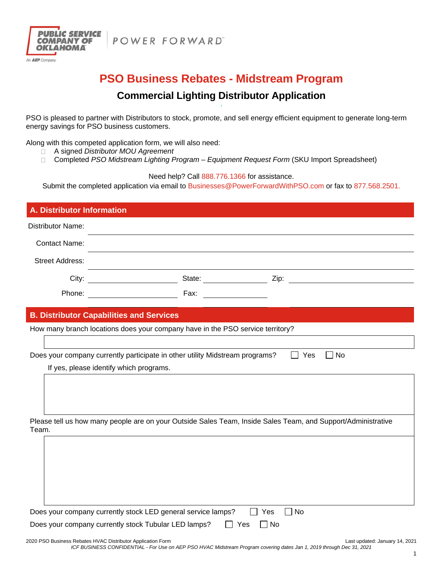



# **PSO Business Rebates - Midstream Program**

## **Commercial Lighting Distributor Application**

PSO is pleased to partner with Distributors to stock, promote, and sell energy efficient equipment to generate long-term energy savings for PSO business customers.

Along with this competed application form, we will also need:

- A signed *Distributor MOU Agreement*
- □ Completed *PSO Midstream Lighting Program Equipment Request Form* (SKU Import Spreadsheet)

Need help? Call 888.776.1366 for assistance.

Submit the completed application via email to Businesses@PowerForwardWithPSO.com or fax to 877.568.2501.

| A. Distributor Information                                                                                            |                                                                                                                                                                                                                                     |  |  |  |
|-----------------------------------------------------------------------------------------------------------------------|-------------------------------------------------------------------------------------------------------------------------------------------------------------------------------------------------------------------------------------|--|--|--|
| <b>Distributor Name:</b>                                                                                              |                                                                                                                                                                                                                                     |  |  |  |
| <b>Contact Name:</b>                                                                                                  |                                                                                                                                                                                                                                     |  |  |  |
| <b>Street Address:</b>                                                                                                |                                                                                                                                                                                                                                     |  |  |  |
|                                                                                                                       | City: <u>City:</u> City: City: City: City: City: City: City: City: City: City: City: City: City: City: City: City: City: City: City: City: City: City: City: City: City: City: City: City: City: City: City: City: City: City: City |  |  |  |
|                                                                                                                       | Fax:                                                                                                                                                                                                                                |  |  |  |
|                                                                                                                       | <b>B. Distributor Capabilities and Services</b>                                                                                                                                                                                     |  |  |  |
|                                                                                                                       | How many branch locations does your company have in the PSO service territory?                                                                                                                                                      |  |  |  |
|                                                                                                                       |                                                                                                                                                                                                                                     |  |  |  |
| Does your company currently participate in other utility Midstream programs?<br>Yes<br>$\Box$ No                      |                                                                                                                                                                                                                                     |  |  |  |
|                                                                                                                       | If yes, please identify which programs.                                                                                                                                                                                             |  |  |  |
|                                                                                                                       |                                                                                                                                                                                                                                     |  |  |  |
|                                                                                                                       |                                                                                                                                                                                                                                     |  |  |  |
|                                                                                                                       |                                                                                                                                                                                                                                     |  |  |  |
| Please tell us how many people are on your Outside Sales Team, Inside Sales Team, and Support/Administrative<br>Team. |                                                                                                                                                                                                                                     |  |  |  |
|                                                                                                                       |                                                                                                                                                                                                                                     |  |  |  |
|                                                                                                                       |                                                                                                                                                                                                                                     |  |  |  |
|                                                                                                                       |                                                                                                                                                                                                                                     |  |  |  |
|                                                                                                                       |                                                                                                                                                                                                                                     |  |  |  |
|                                                                                                                       |                                                                                                                                                                                                                                     |  |  |  |
|                                                                                                                       |                                                                                                                                                                                                                                     |  |  |  |
| No<br>Does your company currently stock LED general service lamps?<br>Yes                                             |                                                                                                                                                                                                                                     |  |  |  |
| Does your company currently stock Tubular LED lamps?<br>$\Box$ No<br>Yes                                              |                                                                                                                                                                                                                                     |  |  |  |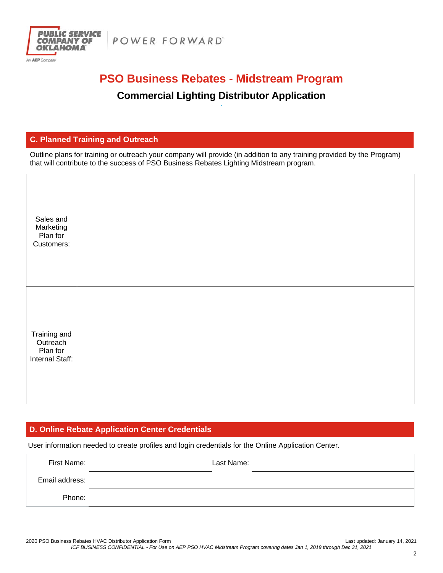



# **PSO Business Rebates - Midstream Program**

## **Commercial Lighting Distributor Application**

#### **C. Planned Training and Outreach**

Outline plans for training or outreach your company will provide (in addition to any training provided by the Program) that will contribute to the success of PSO Business Rebates Lighting Midstream program.

| Sales and<br>Marketing<br>Plan for<br>Customers:        |  |
|---------------------------------------------------------|--|
| Training and<br>Outreach<br>Plan for<br>Internal Staff: |  |

#### **D. Online Rebate Application Center Credentials**

User information needed to create profiles and login credentials for the Online Application Center.

| First Name:    | Last Name: |
|----------------|------------|
| Email address: |            |
| Phone:         |            |